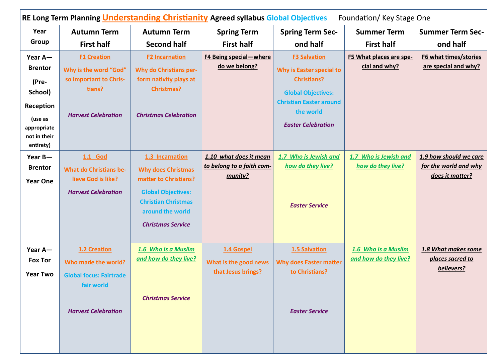| RE Long Term Planning <i>Understanding Christianity</i> Agreed syllabus Global Objectives<br>Foundation/Key Stage One |                                                                                                                   |                                                                                                                                                                                  |                                                                |                                                                                                                                                                                |                                              |                                                                    |  |
|-----------------------------------------------------------------------------------------------------------------------|-------------------------------------------------------------------------------------------------------------------|----------------------------------------------------------------------------------------------------------------------------------------------------------------------------------|----------------------------------------------------------------|--------------------------------------------------------------------------------------------------------------------------------------------------------------------------------|----------------------------------------------|--------------------------------------------------------------------|--|
| Year<br>Group                                                                                                         | <b>Autumn Term</b><br><b>First half</b>                                                                           | <b>Autumn Term</b><br><b>Second half</b>                                                                                                                                         | <b>Spring Term</b><br><b>First half</b>                        | <b>Spring Term Sec-</b><br>ond half                                                                                                                                            | <b>Summer Term</b><br><b>First half</b>      | <b>Summer Term Sec-</b><br>ond half                                |  |
| Year A-<br><b>Brentor</b><br>(Pre-<br>School)<br>Reception<br>(use as<br>appropriate<br>not in their<br>entirety)     | <b>F1 Creation</b><br>Why is the word "God"<br>so important to Chris-<br>tians?<br><b>Harvest Celebration</b>     | <b>F2 Incarnation</b><br><b>Why do Christians per-</b><br>form nativity plays at<br><b>Christmas?</b><br><b>Christmas Celebration</b>                                            | <b>F4 Being special-where</b><br>do we belong?                 | <b>F3 Salvation</b><br>Why is Easter special to<br><b>Christians?</b><br><b>Global Objectives:</b><br><b>Christian Easter around</b><br>the world<br><b>Easter Celebration</b> | F5 What places are spe-<br>cial and why?     | F6 what times/stories<br>are special and why?                      |  |
| Year B-<br><b>Brentor</b><br><b>Year One</b>                                                                          | 1.1 God<br><b>What do Christians be-</b><br>lieve God is like?<br><b>Harvest Celebration</b>                      | 1.3 Incarnation<br><b>Why does Christmas</b><br>matter to Christians?<br><b>Global Objectives:</b><br><b>Christian Christmas</b><br>around the world<br><b>Christmas Service</b> | 1.10 what does it mean<br>to belong to a faith com-<br>munity? | 1.7 Who is Jewish and<br>how do they live?<br><b>Easter Service</b>                                                                                                            | 1.7 Who is Jewish and<br>how do they live?   | 1.9 how should we care<br>for the world and why<br>does it matter? |  |
| Year A-<br><b>Fox Tor</b><br><b>Year Two</b>                                                                          | 1.2 Creation<br>Who made the world?<br><b>Global focus: Fairtrade</b><br>fair world<br><b>Harvest Celebration</b> | 1.6 Who is a Muslim<br>and how do they live?<br><b>Christmas Service</b>                                                                                                         | 1.4 Gospel<br>What is the good news<br>that Jesus brings?      | 1.5 Salvation<br><b>Why does Easter matter</b><br>to Christians?<br><b>Easter Service</b>                                                                                      | 1.6 Who is a Muslim<br>and how do they live? | 1.8 What makes some<br>places sacred to<br>believers?              |  |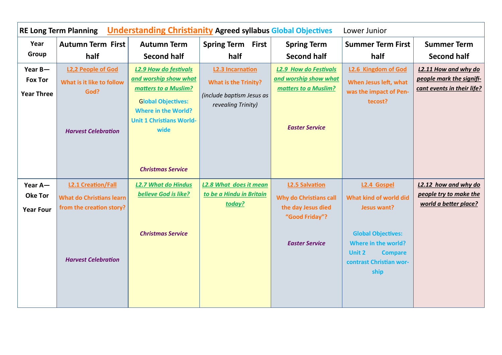| <b>Understanding Christianity Agreed syllabus Global Objectives</b><br><b>RE Long Term Planning</b><br>Lower Junior |                                                                                              |                                                                                                                                                                                     |                                                                                                           |                                                                                                        |                                                                                                                        |                                                                                |
|---------------------------------------------------------------------------------------------------------------------|----------------------------------------------------------------------------------------------|-------------------------------------------------------------------------------------------------------------------------------------------------------------------------------------|-----------------------------------------------------------------------------------------------------------|--------------------------------------------------------------------------------------------------------|------------------------------------------------------------------------------------------------------------------------|--------------------------------------------------------------------------------|
| Year                                                                                                                | Autumn Term First                                                                            | <b>Autumn Term</b>                                                                                                                                                                  | <b>Spring Term First</b>                                                                                  | <b>Spring Term</b>                                                                                     | <b>Summer Term First</b>                                                                                               | <b>Summer Term</b>                                                             |
| Group                                                                                                               | half                                                                                         | <b>Second half</b>                                                                                                                                                                  | half                                                                                                      | <b>Second half</b>                                                                                     | half                                                                                                                   | <b>Second half</b>                                                             |
| Year $B-$<br><b>Fox Tor</b><br><b>Year Three</b>                                                                    | <b>L2,2 People of God</b><br>What is it like to follow<br>God?<br><b>Harvest Celebration</b> | <b>L2.9 How do festivals</b><br>and worship show what<br>matters to a Muslim?<br><b>Global Objectives:</b><br><b>Where in the World?</b><br><b>Unit 1 Christians World-</b><br>wide | <b>L2.3 Incarnation</b><br><b>What is the Trinity?</b><br>(include baptism Jesus as<br>revealing Trinity) | <b>L2.9 How do Festivals</b><br>and worship show what<br>matters to a Muslim?<br><b>Easter Service</b> | <b>L2.6 Kingdom of God</b><br>When Jesus left, what<br>was the impact of Pen-<br>tecost?                               | L2.11 How and why do<br>people mark the signifi-<br>cant events in their life? |
|                                                                                                                     |                                                                                              | <b>Christmas Service</b>                                                                                                                                                            |                                                                                                           |                                                                                                        |                                                                                                                        |                                                                                |
| Year A-                                                                                                             | <b>L2.1 Creation/Fall</b>                                                                    | <b>L2.7 What do Hindus</b>                                                                                                                                                          | <b>L2.8 What does it mean</b>                                                                             | <b>L2.5 Salvation</b>                                                                                  | <b>L2.4 Gospel</b>                                                                                                     | L2.12 how and why do                                                           |
| <b>Oke Tor</b>                                                                                                      | <b>What do Christians learn</b>                                                              | believe God is like?                                                                                                                                                                | to be a Hindu in Britain                                                                                  | <b>Why do Christians call</b>                                                                          | What kind of world did                                                                                                 | people try to make the                                                         |
| <b>Year Four</b>                                                                                                    | from the creation story?                                                                     |                                                                                                                                                                                     | today?                                                                                                    | the day Jesus died<br>"Good Friday"?                                                                   | Jesus want?                                                                                                            | world a better place?                                                          |
|                                                                                                                     | <b>Harvest Celebration</b>                                                                   | <b>Christmas Service</b>                                                                                                                                                            |                                                                                                           | <b>Easter Service</b>                                                                                  | <b>Global Objectives:</b><br>Where in the world?<br><b>Unit 2</b><br><b>Compare</b><br>contrast Christian wor-<br>ship |                                                                                |